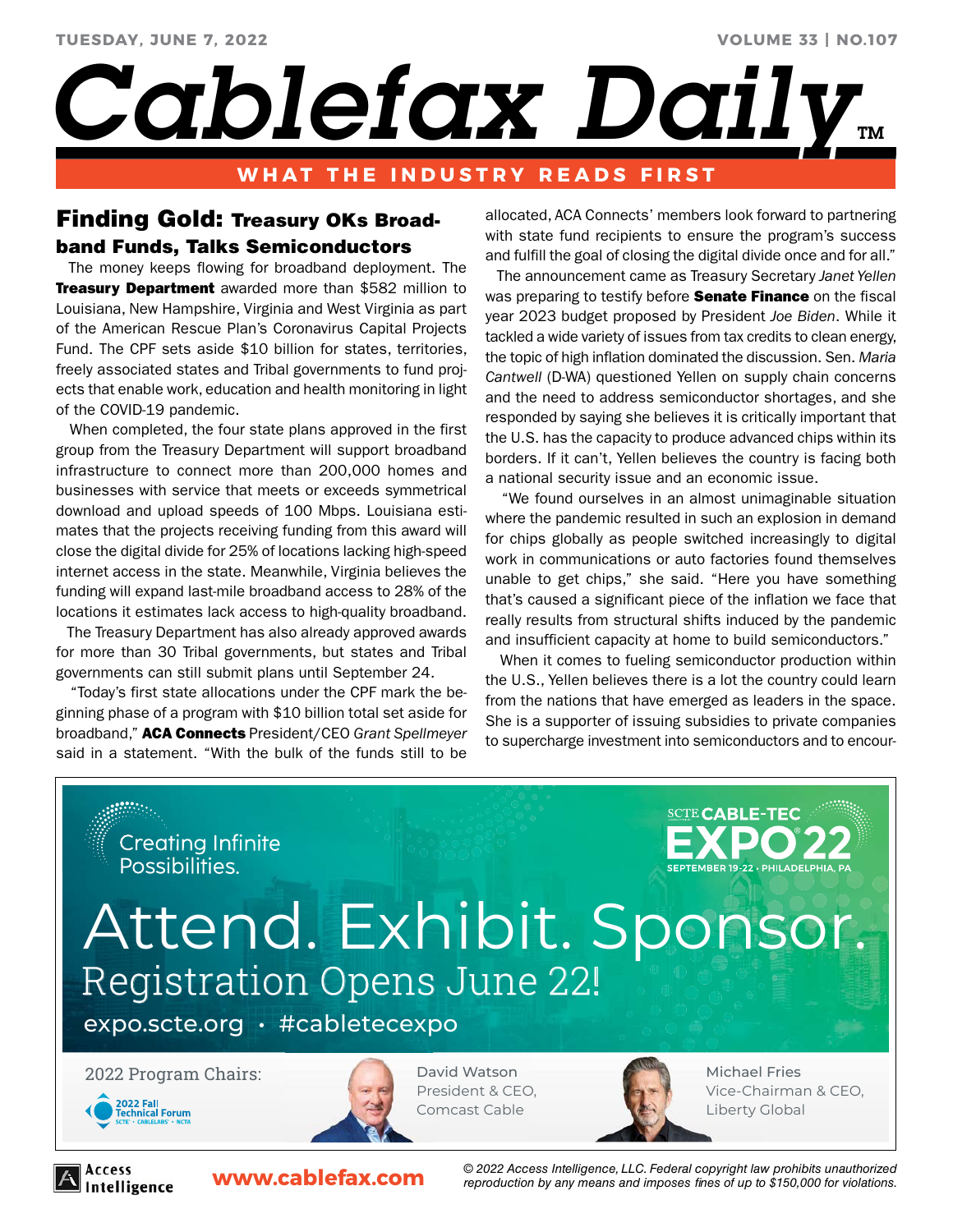# **VOLUME 33 | NO.107**

Cablefax Daily...

# **WHAT THE INDUSTRY READS FIRST**

# Finding Gold: Treasury OKs Broadband Funds, Talks Semiconductors

 The money keeps flowing for broadband deployment. The Treasury Department awarded more than \$582 million to Louisiana, New Hampshire, Virginia and West Virginia as part of the American Rescue Plan's Coronavirus Capital Projects Fund. The CPF sets aside \$10 billion for states, territories, freely associated states and Tribal governments to fund projects that enable work, education and health monitoring in light of the COVID-19 pandemic.

 When completed, the four state plans approved in the first group from the Treasury Department will support broadband infrastructure to connect more than 200,000 homes and businesses with service that meets or exceeds symmetrical download and upload speeds of 100 Mbps. Louisiana estimates that the projects receiving funding from this award will close the digital divide for 25% of locations lacking high-speed internet access in the state. Meanwhile, Virginia believes the funding will expand last-mile broadband access to 28% of the locations it estimates lack access to high-quality broadband.

 The Treasury Department has also already approved awards for more than 30 Tribal governments, but states and Tribal governments can still submit plans until September 24.

 "Today's first state allocations under the CPF mark the beginning phase of a program with \$10 billion total set aside for broadband," ACA Connects President/CEO *Grant Spellmeyer* said in a statement. "With the bulk of the funds still to be

allocated, ACA Connects' members look forward to partnering with state fund recipients to ensure the program's success and fulfill the goal of closing the digital divide once and for all."

 The announcement came as Treasury Secretary *Janet Yellen* was preparing to testify before **Senate Finance** on the fiscal year 2023 budget proposed by President *Joe Biden*. While it tackled a wide variety of issues from tax credits to clean energy, the topic of high inflation dominated the discussion. Sen. *Maria Cantwell* (D-WA) questioned Yellen on supply chain concerns and the need to address semiconductor shortages, and she responded by saying she believes it is critically important that the U.S. has the capacity to produce advanced chips within its borders. If it can't, Yellen believes the country is facing both a national security issue and an economic issue.

 "We found ourselves in an almost unimaginable situation where the pandemic resulted in such an explosion in demand for chips globally as people switched increasingly to digital work in communications or auto factories found themselves unable to get chips," she said. "Here you have something that's caused a significant piece of the inflation we face that really results from structural shifts induced by the pandemic and insufficient capacity at home to build semiconductors."

 When it comes to fueling semiconductor production within the U.S., Yellen believes there is a lot the country could learn from the nations that have emerged as leaders in the space. She is a supporter of issuing subsidies to private companies to supercharge investment into semiconductors and to encour-



Intelligence

**www.cablefax.com** *© 2022 Access Intelligence, LLC. Federal copyright law prohibits unauthorized reproduction by any means and imposes fines of up to \$150,000 for violations.*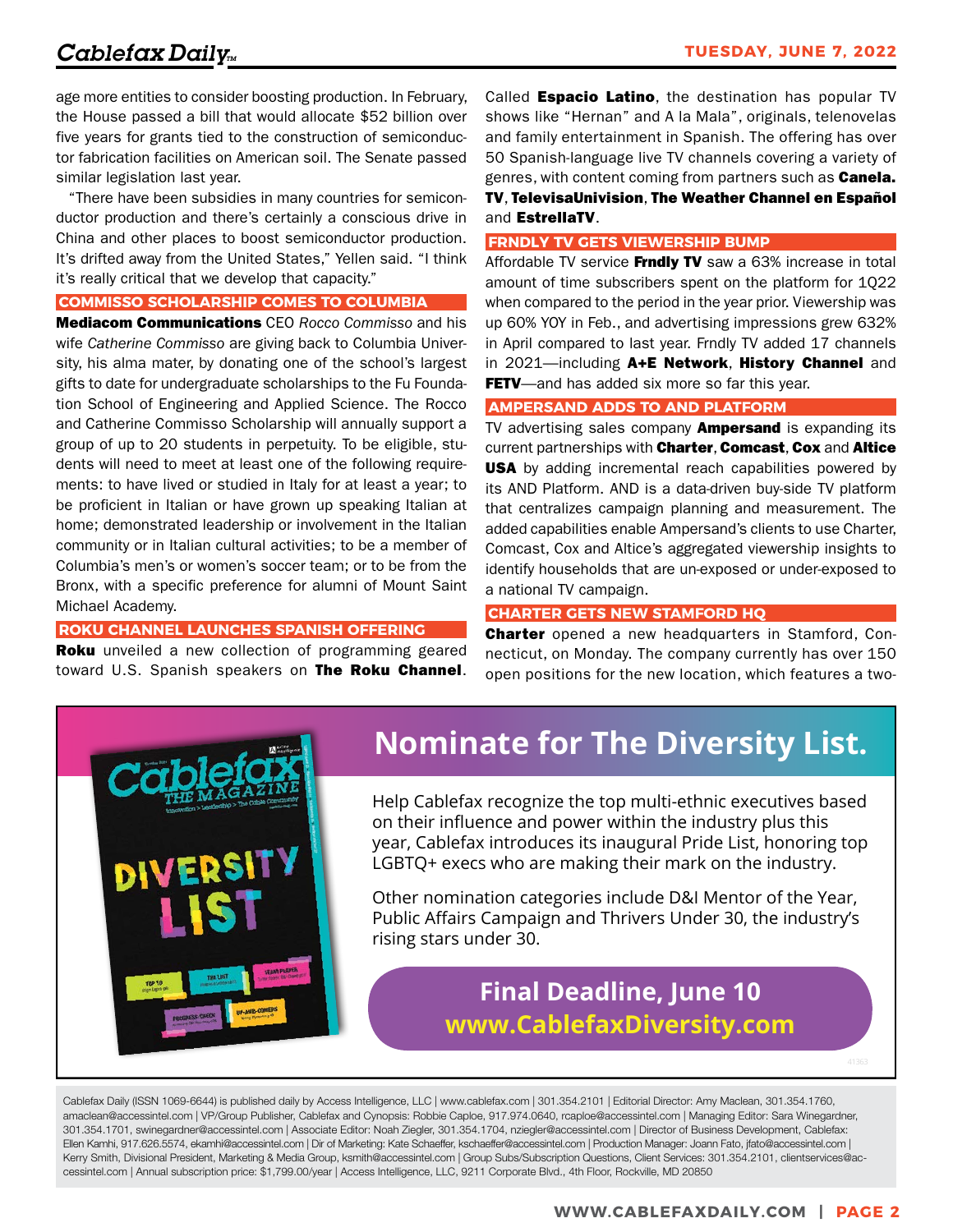age more entities to consider boosting production. In February, the House passed a bill that would allocate \$52 billion over five years for grants tied to the construction of semiconductor fabrication facilities on American soil. The Senate passed similar legislation last year.

 "There have been subsidies in many countries for semiconductor production and there's certainly a conscious drive in China and other places to boost semiconductor production. It's drifted away from the United States," Yellen said. "I think it's really critical that we develop that capacity."

# **COMMISSO SCHOLARSHIP COMES TO COLUMBIA**

Mediacom Communications CEO *Rocco Commisso* and his wife *Catherine Commisso* are giving back to Columbia University, his alma mater, by donating one of the school's largest gifts to date for undergraduate scholarships to the Fu Foundation School of Engineering and Applied Science. The Rocco and Catherine Commisso Scholarship will annually support a group of up to 20 students in perpetuity. To be eligible, students will need to meet at least one of the following requirements: to have lived or studied in Italy for at least a year; to be proficient in Italian or have grown up speaking Italian at home; demonstrated leadership or involvement in the Italian community or in Italian cultural activities; to be a member of Columbia's men's or women's soccer team; or to be from the Bronx, with a specific preference for alumni of Mount Saint Michael Academy.

# **ROKU CHANNEL LAUNCHES SPANISH OFFERING**

Roku unveiled a new collection of programming geared toward U.S. Spanish speakers on The Roku Channel. Called **Espacio Latino**, the destination has popular TV shows like "Hernan" and A la Mala", originals, telenovelas and family entertainment in Spanish. The offering has over 50 Spanish-language live TV channels covering a variety of genres, with content coming from partners such as **Canela.** TV, TelevisaUnivision, The Weather Channel en Español and EstrellaTV.

### **FRNDLY TV GETS VIEWERSHIP BUMP**

Affordable TV service Frndly TV saw a 63% increase in total amount of time subscribers spent on the platform for 1Q22 when compared to the period in the year prior. Viewership was up 60% YOY in Feb., and advertising impressions grew 632% in April compared to last year. Frndly TV added 17 channels in 2021—including A+E Network, History Channel and FETV—and has added six more so far this year.

### **AMPERSAND ADDS TO AND PLATFORM**

TV advertising sales company **Ampersand** is expanding its current partnerships with Charter, Comcast, Cox and Altice USA by adding incremental reach capabilities powered by its AND Platform. AND is a data-driven buy-side TV platform that centralizes campaign planning and measurement. The added capabilities enable Ampersand's clients to use Charter, Comcast, Cox and Altice's aggregated viewership insights to identify households that are un-exposed or under-exposed to a national TV campaign.

### **CHARTER GETS NEW STAMFORD HQ**

**Charter** opened a new headquarters in Stamford, Connecticut, on Monday. The company currently has over 150 open positions for the new location, which features a two-



# **[Nominate for The Diversity List.](http://www.cablefaxdiversity.com/)**

Help Cablefax recognize the top multi-ethnic executives based on their influence and power within the industry plus this year, Cablefax introduces its inaugural Pride List, honoring top LGBTQ+ execs who are making their mark on the industry.

Other nomination categories include D&I Mentor of the Year, Public Affairs Campaign and Thrivers Under 30, the industry's rising stars under 30.

# **Final Deadline, June 10 www.CablefaxDiversity.com**

Cablefax Daily (ISSN 1069-6644) is published daily by Access Intelligence, LLC | www.cablefax.com | 301.354.2101 | Editorial Director: Amy Maclean, 301.354.1760, amaclean@accessintel.com | VP/Group Publisher, Cablefax and Cynopsis: Robbie Caploe, 917.974.0640, rcaploe@accessintel.com | Managing Editor: Sara Winegardner, 301.354.1701, swinegardner@accessintel.com | Associate Editor: Noah Ziegler, 301.354.1704, nziegler@accessintel.com | Director of Business Development, Cablefax: Ellen Kamhi, 917.626.5574, ekamhi@accessintel.com | Dir of Marketing: Kate Schaeffer, kschaeffer@accessintel.com | Production Manager: Joann Fato, jfato@accessintel.com | Kerry Smith, Divisional President, Marketing & Media Group, ksmith@accessintel.com | Group Subs/Subscription Questions, Client Services: 301.354.2101, clientservices@accessintel.com | Annual subscription price: \$1,799.00/year | Access Intelligence, LLC, 9211 Corporate Blvd., 4th Floor, Rockville, MD 20850